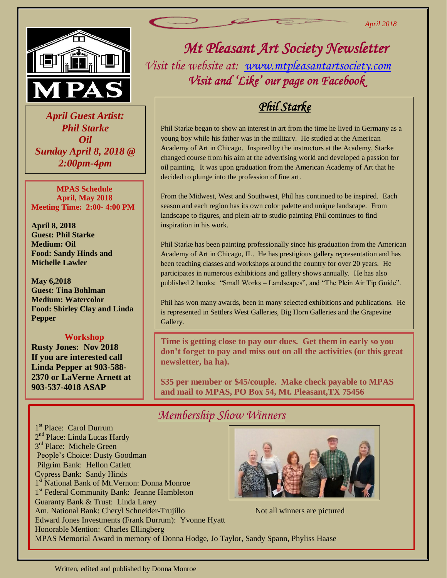

 *April Guest Artist: Phil Starke Oil Sunday April 8, 2018 @ 2:00pm-4pm*

**MPAS Schedule April, May 2018 Meeting Time: 2:00- 4:00 PM**

**April 8, 2018 Guest: Phil Starke Medium: Oil Food: Sandy Hinds and Michelle Lawler**

**May 6,2018 Guest: Tina Bohlman Medium: Watercolor Food: Shirley Clay and Linda Pepper**

## **Workshop**

**Rusty Jones: Nov 2018 If you are interested call Linda Pepper at 903-588- 2370 or LaVerne Arnett at 903-537-4018 ASAP**

*Mt Pleasant Art Society Newsletter Visit the website at: [www.mtpleasantartsociety.com](http://www.mtpleasantartsociety.com/) Visit and 'Like' our page on Facebook* 

## *Phil Starke*

*April 2018*

Phil Starke began to show an interest in art from the time he lived in Germany as a young boy while his father was in the military. He studied at the American Academy of Art in Chicago. Inspired by the instructors at the Academy, Starke changed course from his aim at the advertising world and developed a passion for oil painting. It was upon graduation from the American Academy of Art that he decided to plunge into the profession of fine art.

From the Midwest, West and Southwest, Phil has continued to be inspired. Each season and each region has its own color palette and unique landscape. From landscape to figures, and plein-air to studio painting Phil continues to find inspiration in his work.

Phil Starke has been painting professionally since his graduation from the American Academy of Art in Chicago, IL. He has prestigious gallery representation and has been teaching classes and workshops around the country for over 20 years. He participates in numerous exhibitions and gallery shows annually. He has also published 2 books: "Small Works – Landscapes", and "The Plein Air Tip Guide".

Phil has won many awards, been in many selected exhibitions and publications. He is represented in Settlers West Galleries, Big Horn Galleries and the Grapevine Gallery.

**Time is getting close to pay our dues. Get them in early so you don't forget to pay and miss out on all the activities (or this great newsletter, ha ha).**

**\$35 per member or \$45/couple. Make check payable to MPAS and mail to MPAS, PO Box 54, Mt. Pleasant,TX 75456**

## *Membership Show Winners*

1 st Place: Carol Durrum 2<sup>nd</sup> Place: Linda Lucas Hardy 3<sup>rd</sup> Place: Michele Green People's Choice: Dusty Goodman Pilgrim Bank: Hellon Catlett Cypress Bank: Sandy Hinds 1<sup>st</sup> National Bank of Mt. Vernon: Donna Monroe 1 st Federal Community Bank: Jeanne Hambleton Guaranty Bank & Trust: Linda Larey Am. National Bank: Cheryl Schneider-Trujillo Not all winners are pictured Edward Jones Investments (Frank Durrum): Yvonne Hyatt Honorable Mention: Charles Ellingberg MPAS Memorial Award in memory of Donna Hodge, Jo Taylor, Sandy Spann, Phyliss Haase